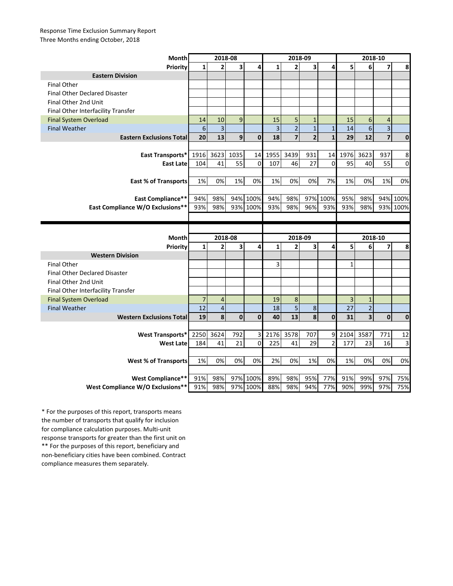## Response Time Exclusion Summary Report Three Months ending October, 2018

| Month                                                | 2018-08        |                         |                         |              | 2018-09        |                |                |                | 2018-10        |                |                |                |
|------------------------------------------------------|----------------|-------------------------|-------------------------|--------------|----------------|----------------|----------------|----------------|----------------|----------------|----------------|----------------|
| Priority                                             | $\mathbf{1}$   | $\overline{2}$          | $\overline{\mathbf{3}}$ | 4            | $\mathbf{1}$   | $\overline{2}$ | 3              | 4              | 5              | 6              | 7              | 8              |
| <b>Eastern Division</b>                              |                |                         |                         |              |                |                |                |                |                |                |                |                |
| <b>Final Other</b>                                   |                |                         |                         |              |                |                |                |                |                |                |                |                |
| <b>Final Other Declared Disaster</b>                 |                |                         |                         |              |                |                |                |                |                |                |                |                |
| Final Other 2nd Unit                                 |                |                         |                         |              |                |                |                |                |                |                |                |                |
| Final Other Interfacility Transfer                   |                |                         |                         |              |                |                |                |                |                |                |                |                |
| <b>Final System Overload</b>                         | 14             | 10                      | 9                       |              | 15             | 5              | $\mathbf{1}$   |                | 15             | 6              | $\overline{4}$ |                |
| <b>Final Weather</b>                                 | $6\phantom{1}$ | 3                       |                         |              | $\overline{3}$ | $\overline{2}$ | $\mathbf 1$    | $\mathbf{1}$   | 14             | 6              | $\overline{3}$ |                |
| <b>Eastern Exclusions Total</b>                      | 20             | 13                      | 9                       | $\mathbf{0}$ | 18             | $\overline{7}$ | $\overline{2}$ | $\mathbf{1}$   | 29             | 12             | $\overline{7}$ | $\mathbf 0$    |
|                                                      |                |                         |                         |              |                |                |                |                |                |                |                |                |
| <b>East Transports*</b>                              | 1916           | 3623                    | 1035                    | 14           | 1955           | 3439           | 931            | 14             | 1976           | 3623           | 937            | 8              |
| <b>East Late</b>                                     | 104            | 41                      | 55                      | $\mathbf 0$  | 107            | 46             | 27             | $\mathbf 0$    | 95             | 40             | 55             | $\mathbf 0$    |
|                                                      |                |                         |                         |              |                |                |                |                |                |                |                |                |
| <b>East % of Transports</b>                          | 1%             | 0%                      | 1%                      | 0%           | 1%             | 0%             | 0%             | 7%             | 1%             | 0%             | 1%             | 0%             |
|                                                      |                |                         |                         |              |                |                |                |                |                |                |                |                |
| <b>East Compliance**</b>                             | 94%            | 98%                     |                         | 94% 100%     | 94%            | 98%            |                | 97% 100%       | 95%            | 98%            | 94%            | 100%           |
| <b>East Compliance W/O Exclusions**</b>              | 93%            | 98%                     |                         | 93% 100%     | 93%            | 98%            | 96%            | 93%            | 93%            | 98%            |                | 93% 100%       |
|                                                      |                |                         |                         |              |                |                |                |                |                |                |                |                |
|                                                      |                |                         |                         |              |                |                |                |                |                |                |                |                |
|                                                      |                |                         |                         |              |                |                |                |                |                |                |                |                |
|                                                      |                |                         |                         |              |                |                |                |                |                |                |                |                |
| Month                                                |                | 2018-08                 |                         |              |                | 2018-09        |                |                |                | 2018-10        |                |                |
| Priority                                             | $\mathbf{1}$   | $\overline{\mathbf{c}}$ | 3                       | 4            | $\mathbf{1}$   | 2              | 3              | 4              | 5              | 6              | 7              | 8              |
| <b>Western Division</b><br><b>Final Other</b>        |                |                         |                         |              |                |                |                |                |                |                |                |                |
| <b>Final Other Declared Disaster</b>                 |                |                         |                         |              | 3              |                |                |                | $\mathbf{1}$   |                |                |                |
|                                                      |                |                         |                         |              |                |                |                |                |                |                |                |                |
| Final Other 2nd Unit                                 |                |                         |                         |              |                |                |                |                |                |                |                |                |
| Final Other Interfacility Transfer                   | $\overline{7}$ | $\overline{4}$          |                         |              | 19             | 8              |                |                | $\overline{3}$ | $\mathbf{1}$   |                |                |
| <b>Final System Overload</b><br><b>Final Weather</b> | 12             | $\overline{4}$          |                         |              | 18             | 5              | 8              |                | 27             | $\overline{2}$ |                |                |
| <b>Western Exclusions Total</b>                      | 19             | 8                       | $\mathbf{0}$            | $\mathbf{0}$ | 40             | 13             | 8              | $\mathbf{0}$   | 31             | 3              | $\mathbf{0}$   | $\mathbf 0$    |
|                                                      |                |                         |                         |              |                |                |                |                |                |                |                |                |
| <b>West Transports*</b>                              | 2250           | 3624                    | 792                     | 3            | 2176           | 3578           | 707            | 9              | 2104           | 3587           | 771            | 12             |
| <b>West Late</b>                                     | 184            | 41                      | 21                      | $\Omega$     | 225            | 41             | 29             | $\overline{2}$ | 177            | 23             | 16             | $\overline{3}$ |
|                                                      |                |                         |                         |              |                |                |                |                |                |                |                |                |
| <b>West % of Transports</b>                          | 1%             | 0%                      | 0%                      | 0%           | 2%             | 0%             | 1%             | 0%             | 1%             | 0%             | 0%             | 0%             |
|                                                      |                |                         |                         |              |                |                |                |                |                |                |                |                |
| <b>West Compliance**</b>                             |                | 98%                     |                         | 97% 100%     | 89%            | 98%            |                | 77%            | 91%            | 99%            | 97%            | 75%            |
| West Compliance W/O Exclusions**                     | 91%<br>91%     | 98%                     |                         | 97% 100%     | 88%            | 98%            | 95%<br>94%     | 77%            | 90%            | 99%            | 97%            | 75%            |

\*\* For the purposes of this report, beneficiary and non-beneficiary cities have been combined. Contract compliance measures them separately. \* For the purposes of this report, transports means the number of transports that qualify for inclusion for compliance calculation purposes. Multi-unit response transports for greater than the first unit on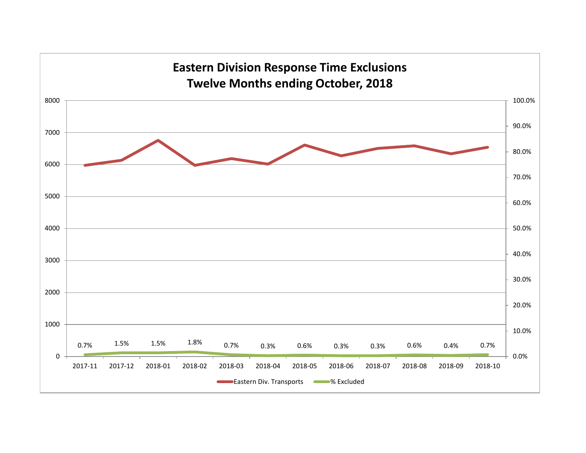